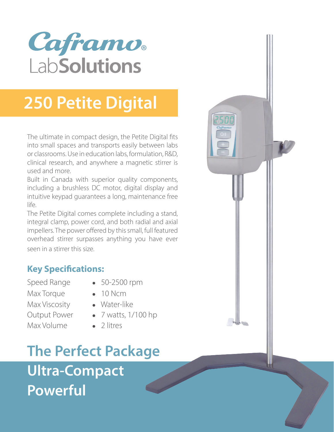# Caframo. LabSolutions

## **250 Petite Digital**

The ultimate in compact design, the Petite Digital fits into small spaces and transports easily between labs or classrooms. Use in education labs, formulation, R&D, clinical research, and anywhere a magnetic stirrer is used and more.

Built in Canada with superior quality components, including a brushless DC motor, digital display and intuitive keypad guarantees a long, maintenance free life.

The Petite Digital comes complete including a stand, integral clamp, power cord, and both radial and axial impellers. The power offered by this small, full featured overhead stirrer surpasses anything you have ever seen in a stirrer this size.

## **Key Specifications:**

Max Torque **•** 10 Ncm Max Viscosity **•** Water-like Max Volume **●** 2 litres

- Speed Range **•** 50-2500 rpm
	-
	-
- Output Power **●** 7 watts, 1/100 hp
	-

**The Perfect Package Ultra-Compact Powerful**